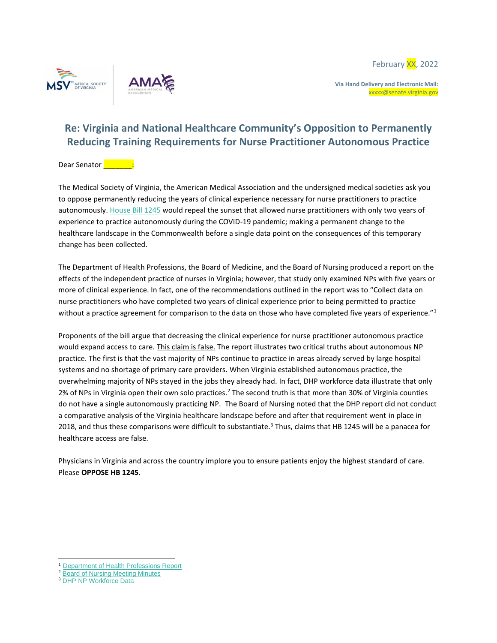





**Via Hand Delivery and Electronic Mail:**  xxxxx@senate.virginia.gov

## **Re: Virginia and National Healthcare Community's Opposition to Permanently Reducing Training Requirements for Nurse Practitioner Autonomous Practice**

## Dear Senator **Lange Senator**

The Medical Society of Virginia, the American Medical Association and the undersigned medical societies ask you to oppose permanently reducing the years of clinical experience necessary for nurse practitioners to practice autonomously. [House Bill 1245](https://lis.virginia.gov/cgi-bin/legp604.exe?221+sum+HB1245) would repeal the sunset that allowed nurse practitioners with only two years of experience to practice autonomously during the COVID-19 pandemic; making a permanent change to the healthcare landscape in the Commonwealth before a single data point on the consequences of this temporary change has been collected.

The Department of Health Professions, the Board of Medicine, and the Board of Nursing produced a report on the effects of the independent practice of nurses in Virginia; however, that study only examined NPs with five years or more of clinical experience. In fact, one of the recommendations outlined in the report was to "Collect data on nurse practitioners who have completed two years of clinical experience prior to being permitted to practice without a practice agreement for comparison to the data on those who have completed five years of experience."<sup>1</sup>

Proponents of the bill argue that decreasing the clinical experience for nurse practitioner autonomous practice would expand access to care. This claim is false. The report illustrates two critical truths about autonomous NP practice. The first is that the vast majority of NPs continue to practice in areas already served by large hospital systems and no shortage of primary care providers. When Virginia established autonomous practice, the overwhelming majority of NPs stayed in the jobs they already had. In fact, DHP workforce data illustrate that only 2% of NPs in Virginia open their own solo practices.<sup>2</sup> The second truth is that more than 30% of Virginia counties do not have a single autonomously practicing NP. The Board of Nursing noted that the DHP report did not conduct a comparative analysis of the Virginia healthcare landscape before and after that requirement went in place in 2018, and thus these comparisons were difficult to substantiate.<sup>3</sup> Thus, claims that HB 1245 will be a panacea for healthcare access are false.

Physicians in Virginia and across the country implore you to ensure patients enjoy the highest standard of care. Please **OPPOSE HB 1245**.

<sup>1</sup> [Department of Health Professions Report](https://rga.lis.virginia.gov/Published/2021/RD625/PDF)

<sup>&</sup>lt;sup>2</sup> [Board of Nursing Meeting Minutes](https://townhall.virginia.gov/l/GetFile.cfm?File=meeting/27/31437/Minutes_DHP_31437_v2.pdf)

<sup>&</sup>lt;sup>3</sup> [DHP NP Workforce Data](https://www.dhp.virginia.gov/media/dhpweb/docs/hwdc/nurse/0024NP2020.pdf)